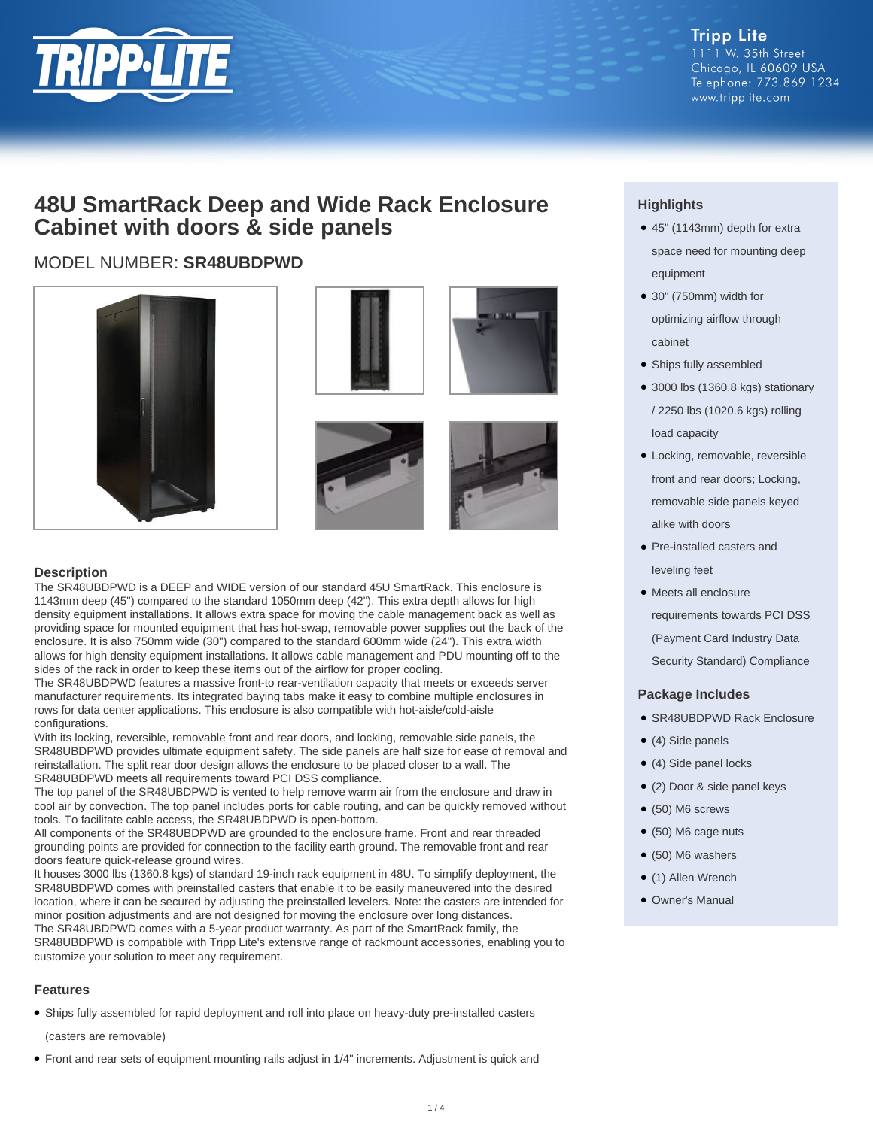

**Tripp Lite** 1111 W. 35th Street Chicago, IL 60609 USA Telephone: 773.869.1234 www.tripplite.com

### **48U SmartRack Deep and Wide Rack Enclosure Cabinet with doors & side panels**

#### MODEL NUMBER: **SR48UBDPWD**







#### **Description**

The SR48UBDPWD is a DEEP and WIDE version of our standard 45U SmartRack. This enclosure is 1143mm deep (45") compared to the standard 1050mm deep (42"). This extra depth allows for high density equipment installations. It allows extra space for moving the cable management back as well as providing space for mounted equipment that has hot-swap, removable power supplies out the back of the enclosure. It is also 750mm wide (30") compared to the standard 600mm wide (24"). This extra width allows for high density equipment installations. It allows cable management and PDU mounting off to the sides of the rack in order to keep these items out of the airflow for proper cooling.

The SR48UBDPWD features a massive front-to rear-ventilation capacity that meets or exceeds server manufacturer requirements. Its integrated baying tabs make it easy to combine multiple enclosures in rows for data center applications. This enclosure is also compatible with hot-aisle/cold-aisle configurations.

With its locking, reversible, removable front and rear doors, and locking, removable side panels, the SR48UBDPWD provides ultimate equipment safety. The side panels are half size for ease of removal and reinstallation. The split rear door design allows the enclosure to be placed closer to a wall. The SR48UBDPWD meets all requirements toward PCI DSS compliance.

The top panel of the SR48UBDPWD is vented to help remove warm air from the enclosure and draw in cool air by convection. The top panel includes ports for cable routing, and can be quickly removed without tools. To facilitate cable access, the SR48UBDPWD is open-bottom.

All components of the SR48UBDPWD are grounded to the enclosure frame. Front and rear threaded grounding points are provided for connection to the facility earth ground. The removable front and rear doors feature quick-release ground wires.

It houses 3000 lbs (1360.8 kgs) of standard 19-inch rack equipment in 48U. To simplify deployment, the SR48UBDPWD comes with preinstalled casters that enable it to be easily maneuvered into the desired location, where it can be secured by adjusting the preinstalled levelers. Note: the casters are intended for minor position adjustments and are not designed for moving the enclosure over long distances. The SR48UBDPWD comes with a 5-year product warranty. As part of the SmartRack family, the SR48UBDPWD is compatible with Tripp Lite's extensive range of rackmount accessories, enabling you to customize your solution to meet any requirement.

#### **Features**

● Ships fully assembled for rapid deployment and roll into place on heavy-duty pre-installed casters

(casters are removable)

● Front and rear sets of equipment mounting rails adjust in 1/4" increments. Adjustment is quick and

#### **Highlights**

- 45" (1143mm) depth for extra space need for mounting deep equipment
- 30" (750mm) width for optimizing airflow through cabinet
- Ships fully assembled
- 3000 lbs (1360.8 kgs) stationary / 2250 lbs (1020.6 kgs) rolling load capacity
- Locking, removable, reversible front and rear doors; Locking, removable side panels keyed alike with doors
- Pre-installed casters and leveling feet
- Meets all enclosure requirements towards PCI DSS (Payment Card Industry Data Security Standard) Compliance

#### **Package Includes**

- SR48UBDPWD Rack Enclosure
- (4) Side panels
- (4) Side panel locks
- (2) Door & side panel keys
- $\bullet$  (50) M6 screws
- (50) M6 cage nuts
- $\bullet$  (50) M6 washers
- (1) Allen Wrench
- Owner's Manual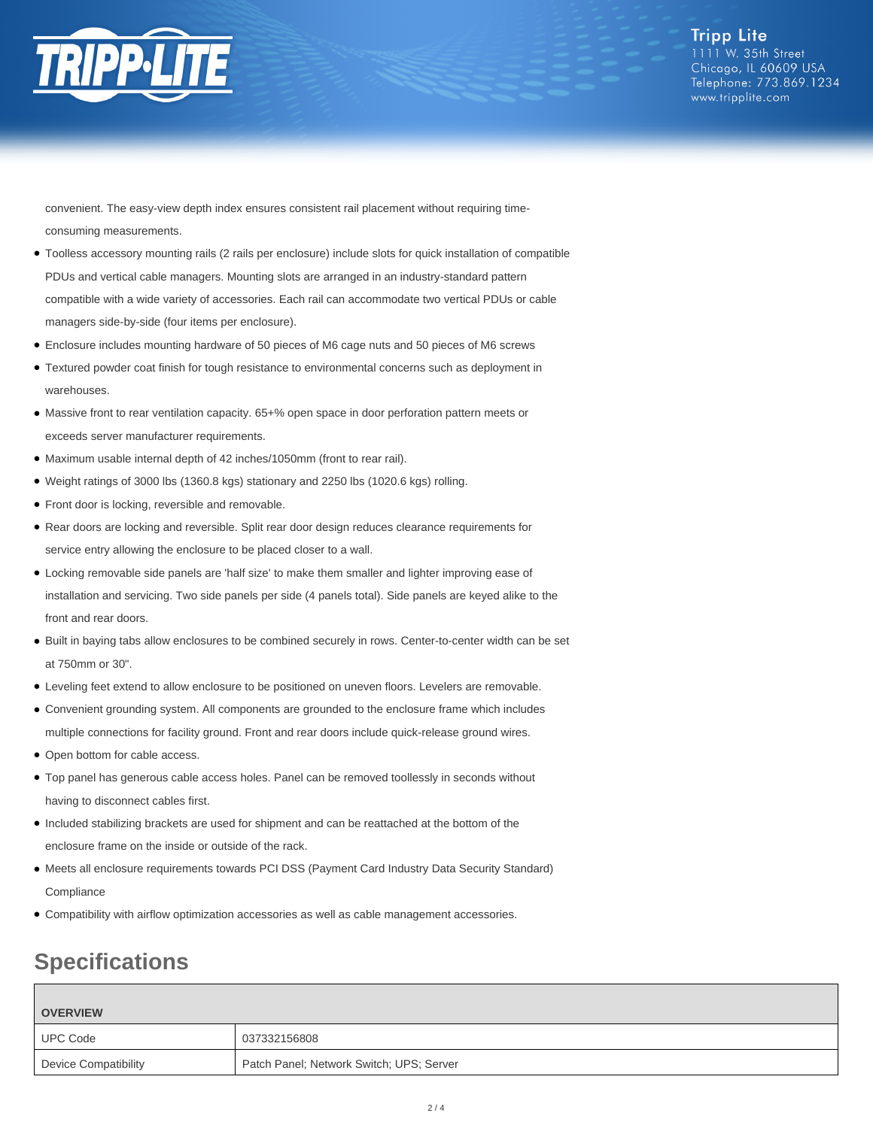

**Tripp Lite** 1111 W. 35th Street Chicago, IL 60609 USA Telephone: 773.869.1234 www.tripplite.com

convenient. The easy-view depth index ensures consistent rail placement without requiring timeconsuming measurements.

- Toolless accessory mounting rails (2 rails per enclosure) include slots for quick installation of compatible PDUs and vertical cable managers. Mounting slots are arranged in an industry-standard pattern compatible with a wide variety of accessories. Each rail can accommodate two vertical PDUs or cable managers side-by-side (four items per enclosure).
- Enclosure includes mounting hardware of 50 pieces of M6 cage nuts and 50 pieces of M6 screws
- Textured powder coat finish for tough resistance to environmental concerns such as deployment in warehouses.
- Massive front to rear ventilation capacity. 65+% open space in door perforation pattern meets or exceeds server manufacturer requirements.
- Maximum usable internal depth of 42 inches/1050mm (front to rear rail).
- Weight ratings of 3000 lbs (1360.8 kgs) stationary and 2250 lbs (1020.6 kgs) rolling.
- Front door is locking, reversible and removable.
- Rear doors are locking and reversible. Split rear door design reduces clearance requirements for service entry allowing the enclosure to be placed closer to a wall.
- Locking removable side panels are 'half size' to make them smaller and lighter improving ease of installation and servicing. Two side panels per side (4 panels total). Side panels are keyed alike to the front and rear doors.
- Built in baying tabs allow enclosures to be combined securely in rows. Center-to-center width can be set at 750mm or 30".
- Leveling feet extend to allow enclosure to be positioned on uneven floors. Levelers are removable.
- Convenient grounding system. All components are grounded to the enclosure frame which includes multiple connections for facility ground. Front and rear doors include quick-release ground wires.
- Open bottom for cable access.
- Top panel has generous cable access holes. Panel can be removed toollessly in seconds without having to disconnect cables first.
- Included stabilizing brackets are used for shipment and can be reattached at the bottom of the enclosure frame on the inside or outside of the rack.
- Meets all enclosure requirements towards PCI DSS (Payment Card Industry Data Security Standard) **Compliance**
- Compatibility with airflow optimization accessories as well as cable management accessories.

## **Specifications**

| <b>OVERVIEW</b>      |                                          |
|----------------------|------------------------------------------|
| <b>UPC Code</b>      | 037332156808                             |
| Device Compatibility | Patch Panel; Network Switch; UPS; Server |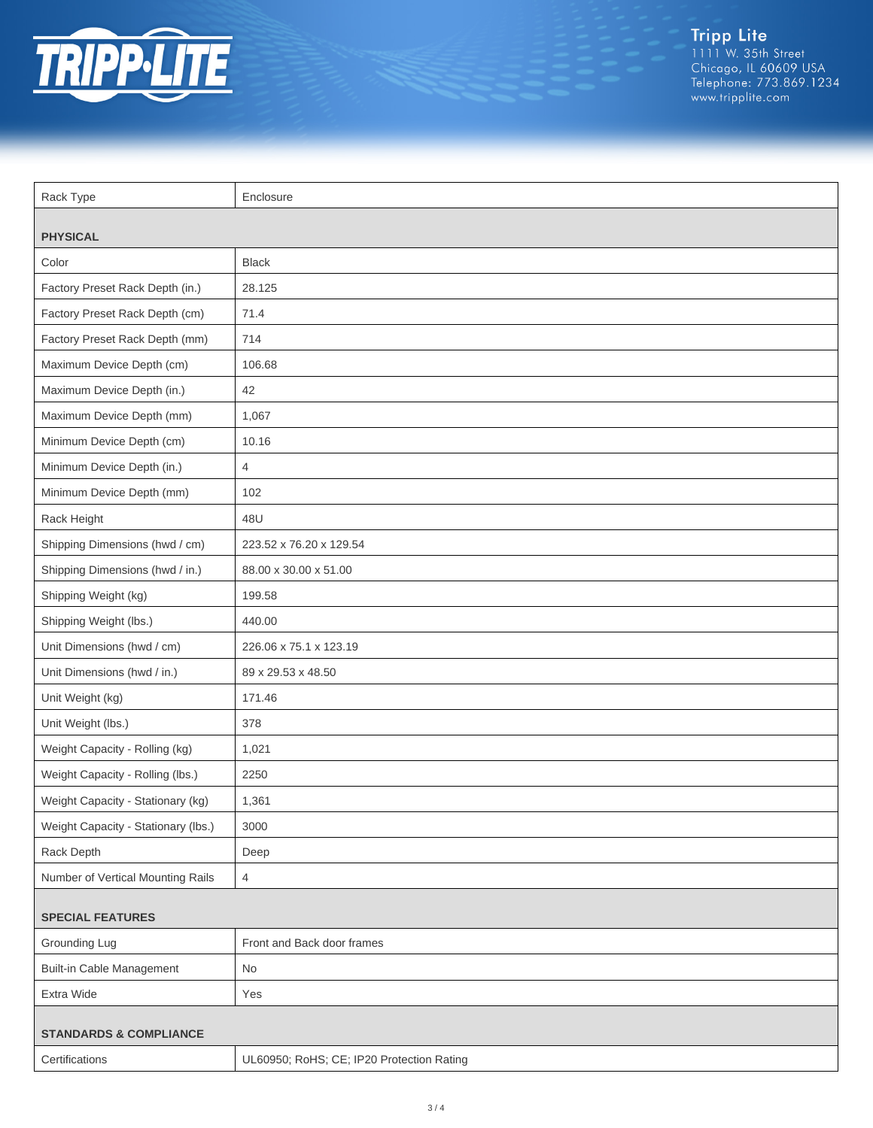

Tripp Lite<br>1111 W. 35th Street<br>Chicago, IL 60609 USA<br>Telephone: 773.869.1234<br>www.tripplite.com

| Rack Type                           | Enclosure                                 |  |
|-------------------------------------|-------------------------------------------|--|
|                                     |                                           |  |
| <b>PHYSICAL</b>                     |                                           |  |
| Color                               | <b>Black</b>                              |  |
| Factory Preset Rack Depth (in.)     | 28.125                                    |  |
| Factory Preset Rack Depth (cm)      | 71.4                                      |  |
| Factory Preset Rack Depth (mm)      | 714                                       |  |
| Maximum Device Depth (cm)           | 106.68                                    |  |
| Maximum Device Depth (in.)          | 42                                        |  |
| Maximum Device Depth (mm)           | 1,067                                     |  |
| Minimum Device Depth (cm)           | 10.16                                     |  |
| Minimum Device Depth (in.)          | $\overline{4}$                            |  |
| Minimum Device Depth (mm)           | 102                                       |  |
| Rack Height                         | 48U                                       |  |
| Shipping Dimensions (hwd / cm)      | 223.52 x 76.20 x 129.54                   |  |
| Shipping Dimensions (hwd / in.)     | 88.00 x 30.00 x 51.00                     |  |
| Shipping Weight (kg)                | 199.58                                    |  |
| Shipping Weight (lbs.)              | 440.00                                    |  |
| Unit Dimensions (hwd / cm)          | 226.06 x 75.1 x 123.19                    |  |
| Unit Dimensions (hwd / in.)         | 89 x 29.53 x 48.50                        |  |
| Unit Weight (kg)                    | 171.46                                    |  |
| Unit Weight (lbs.)                  | 378                                       |  |
| Weight Capacity - Rolling (kg)      | 1,021                                     |  |
| Weight Capacity - Rolling (lbs.)    | 2250                                      |  |
| Weight Capacity - Stationary (kg)   | 1,361                                     |  |
| Weight Capacity - Stationary (lbs.) | 3000                                      |  |
| Rack Depth                          | Deep                                      |  |
| Number of Vertical Mounting Rails   | $\overline{4}$                            |  |
| <b>SPECIAL FEATURES</b>             |                                           |  |
| Grounding Lug                       | Front and Back door frames                |  |
| <b>Built-in Cable Management</b>    | No                                        |  |
| Extra Wide                          | Yes                                       |  |
| <b>STANDARDS &amp; COMPLIANCE</b>   |                                           |  |
| Certifications                      | UL60950; RoHS; CE; IP20 Protection Rating |  |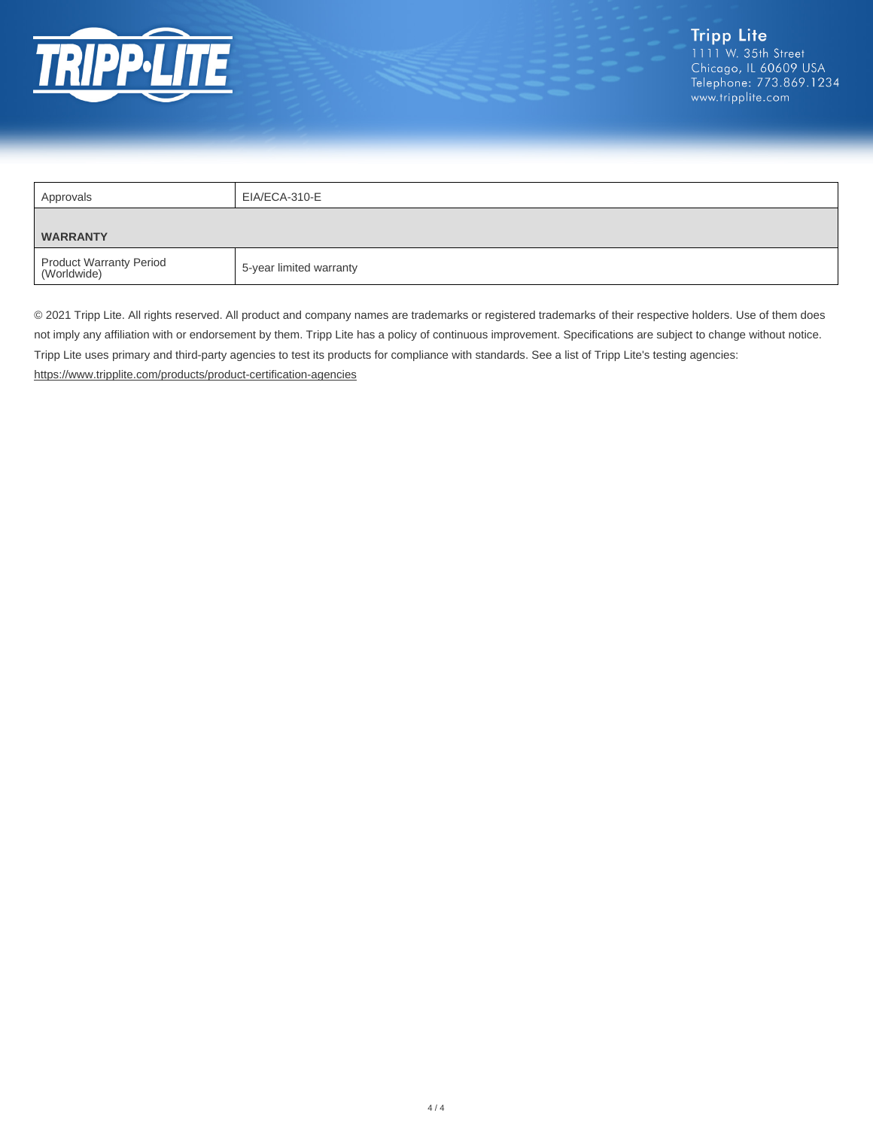

| Approvals                              | EIA/ECA-310-E           |  |
|----------------------------------------|-------------------------|--|
| <b>WARRANTY</b>                        |                         |  |
| Product Warranty Period<br>(Worldwide) | 5-year limited warranty |  |

© 2021 Tripp Lite. All rights reserved. All product and company names are trademarks or registered trademarks of their respective holders. Use of them does not imply any affiliation with or endorsement by them. Tripp Lite has a policy of continuous improvement. Specifications are subject to change without notice. Tripp Lite uses primary and third-party agencies to test its products for compliance with standards. See a list of Tripp Lite's testing agencies: <https://www.tripplite.com/products/product-certification-agencies>